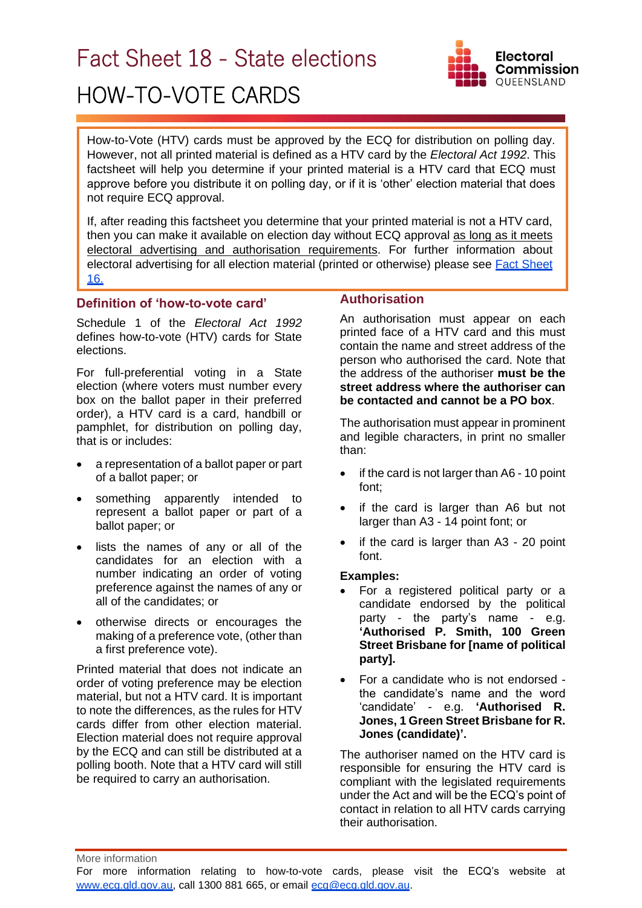# Fact Sheet 18 - State elections

# HOW-TO-VOTE CARDS



How-to-Vote (HTV) cards must be approved by the ECQ for distribution on polling day. However, not all printed material is defined as a HTV card by the *Electoral Act 1992*. This factsheet will help you determine if your printed material is a HTV card that ECQ must approve before you distribute it on polling day, or if it is 'other' election material that does not require ECQ approval.

If, after reading this factsheet you determine that your printed material is not a HTV card, then you can make it available on election day without ECQ approval as long as it meets electoral advertising and authorisation requirements. For further information about electoral advertising for all election material (printed or otherwise) please see **Fact Sheet** [16.](https://www.ecq.qld.gov.au/election-participants/handbooks,-fact-sheets-and-forms)

### **Definition of 'how-to-vote card'**

Schedule 1 of the *Electoral Act 1992* defines how-to-vote (HTV) cards for State elections.

For full-preferential voting in a State election (where voters must number every box on the ballot paper in their preferred order), a HTV card is a card, handbill or pamphlet, for distribution on polling day, that is or includes:

- a representation of a ballot paper or part of a ballot paper; or
- something apparently intended to represent a ballot paper or part of a ballot paper; or
- lists the names of any or all of the candidates for an election with a number indicating an order of voting preference against the names of any or all of the candidates; or
- otherwise directs or encourages the making of a preference vote, (other than a first preference vote).

Printed material that does not indicate an order of voting preference may be election material, but not a HTV card. It is important to note the differences, as the rules for HTV cards differ from other election material. Election material does not require approval by the ECQ and can still be distributed at a polling booth. Note that a HTV card will still be required to carry an authorisation.

# **Authorisation**

An authorisation must appear on each printed face of a HTV card and this must contain the name and street address of the person who authorised the card. Note that the address of the authoriser **must be the street address where the authoriser can be contacted and cannot be a PO box**.

The authorisation must appear in prominent and legible characters, in print no smaller than:

- if the card is not larger than A6 10 point font;
- if the card is larger than A6 but not larger than A3 - 14 point font; or
- if the card is larger than A3 20 point font.

#### **Examples:**

- For a registered political party or a candidate endorsed by the political party - the party's name - e.g. **'Authorised P. Smith, 100 Green Street Brisbane for [name of political party].**
- For a candidate who is not endorsed the candidate's name and the word 'candidate' - e.g. **'Authorised R. Jones, 1 Green Street Brisbane for R. Jones (candidate)'.**

The authoriser named on the HTV card is responsible for ensuring the HTV card is compliant with the legislated requirements under the Act and will be the ECQ's point of contact in relation to all HTV cards carrying their authorisation.

More information

For more information relating to how-to-vote cards, please visit the ECQ's website at [www.ecq.qld.gov.au,](http://www.ecq.qld.gov.au/) call 1300 881 665, or email [ecq@ecq.qld.gov.au.](mailto:ecq@ecq.qld.gov.au)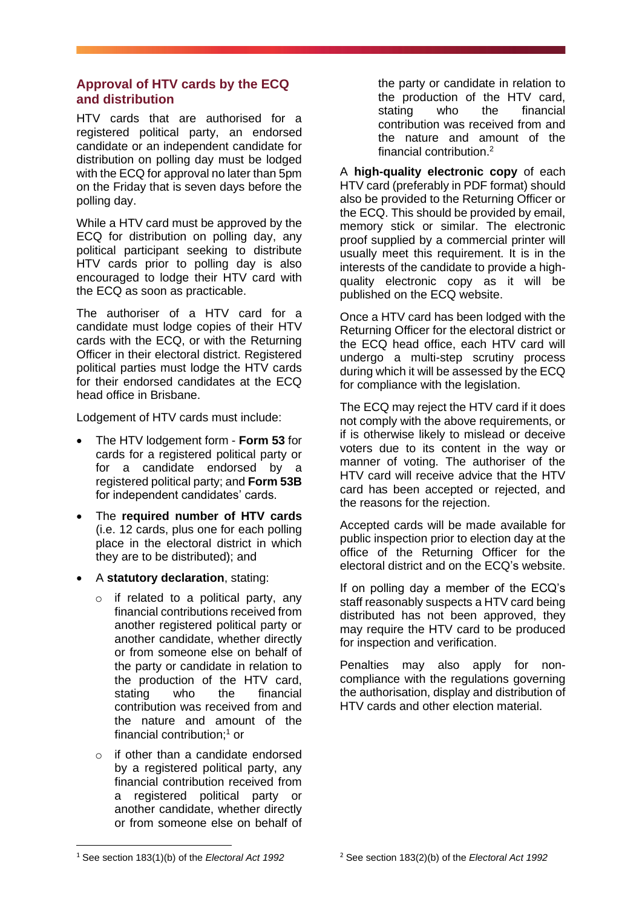## **Approval of HTV cards by the ECQ and distribution**

HTV cards that are authorised for a registered political party, an endorsed candidate or an independent candidate for distribution on polling day must be lodged with the ECQ for approval no later than 5pm on the Friday that is seven days before the polling day.

While a HTV card must be approved by the ECQ for distribution on polling day, any political participant seeking to distribute HTV cards prior to polling day is also encouraged to lodge their HTV card with the ECQ as soon as practicable.

The authoriser of a HTV card for a candidate must lodge copies of their HTV cards with the ECQ, or with the Returning Officer in their electoral district. Registered political parties must lodge the HTV cards for their endorsed candidates at the ECQ head office in Brisbane.

Lodgement of HTV cards must include:

- The HTV lodgement form **Form 53** for cards for a registered political party or for a candidate endorsed by a registered political party; and **Form 53B** for independent candidates' cards.
- The **required number of HTV cards** (i.e. 12 cards, plus one for each polling place in the electoral district in which they are to be distributed); and
- A **statutory declaration**, stating:
	- $\circ$  if related to a political party, any financial contributions received from another registered political party or another candidate, whether directly or from someone else on behalf of the party or candidate in relation to the production of the HTV card, stating who the financial contribution was received from and the nature and amount of the financial contribution; <sup>1</sup> or
	- o if other than a candidate endorsed by a registered political party, any financial contribution received from a registered political party or another candidate, whether directly or from someone else on behalf of

the party or candidate in relation to the production of the HTV card, stating who the financial contribution was received from and the nature and amount of the financial contribution. 2

A **high-quality electronic copy** of each HTV card (preferably in PDF format) should also be provided to the Returning Officer or the ECQ. This should be provided by email, memory stick or similar. The electronic proof supplied by a commercial printer will usually meet this requirement. It is in the interests of the candidate to provide a highquality electronic copy as it will be published on the ECQ website.

Once a HTV card has been lodged with the Returning Officer for the electoral district or the ECQ head office, each HTV card will undergo a multi-step scrutiny process during which it will be assessed by the ECQ for compliance with the legislation.

The ECQ may reject the HTV card if it does not comply with the above requirements, or if is otherwise likely to mislead or deceive voters due to its content in the way or manner of voting. The authoriser of the HTV card will receive advice that the HTV card has been accepted or rejected, and the reasons for the rejection.

Accepted cards will be made available for public inspection prior to election day at the office of the Returning Officer for the electoral district and on the ECQ's website.

If on polling day a member of the ECQ's staff reasonably suspects a HTV card being distributed has not been approved, they may require the HTV card to be produced for inspection and verification.

Penalties may also apply for noncompliance with the regulations governing the authorisation, display and distribution of HTV cards and other election material.

<sup>1</sup> See section 183(1)(b) of the *Electoral Act 1992*

<sup>2</sup> See section 183(2)(b) of the *Electoral Act 1992*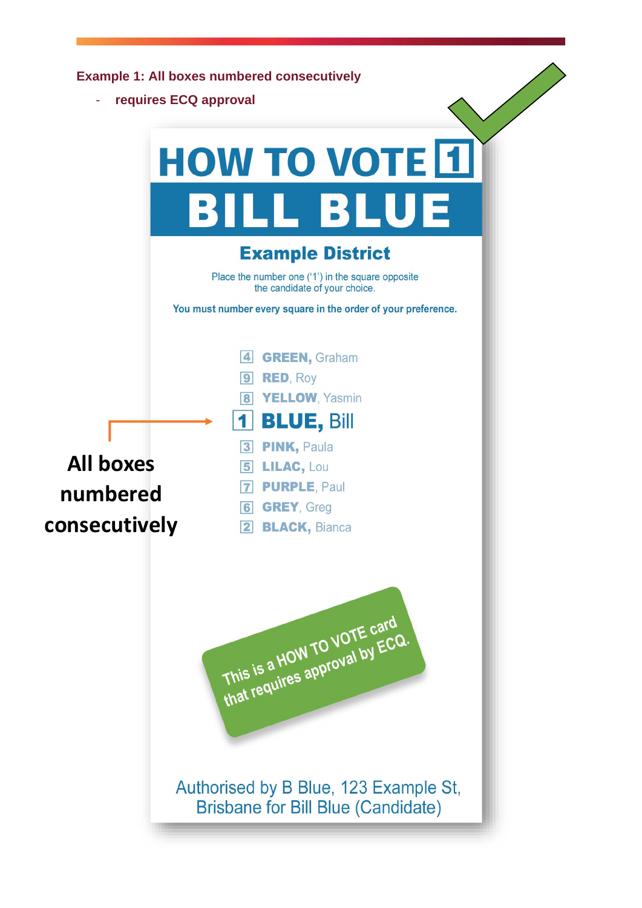**Example 1: All boxes numbered consecutively**

- **requires ECQ approval** 

|                                               | requires ECQ approval                                                                                                                                                                                                                                                                                                                                |  |
|-----------------------------------------------|------------------------------------------------------------------------------------------------------------------------------------------------------------------------------------------------------------------------------------------------------------------------------------------------------------------------------------------------------|--|
|                                               | <b>HOW TO VOTE 1</b>                                                                                                                                                                                                                                                                                                                                 |  |
|                                               | BILL BLUE                                                                                                                                                                                                                                                                                                                                            |  |
|                                               | <b>Example District</b>                                                                                                                                                                                                                                                                                                                              |  |
|                                               | Place the number one ('1') in the square opposite<br>the candidate of your choice.                                                                                                                                                                                                                                                                   |  |
|                                               | You must number every square in the order of your preference.                                                                                                                                                                                                                                                                                        |  |
| <b>All boxes</b><br>numbered<br>consecutively | <b>GREEN, Graham</b><br>$\blacktriangleleft$<br><b>RED, Roy</b><br>$\boldsymbol{9}$<br>YELLOW, Yasmin<br>$\overline{\mathbf{8}}$<br><b>BLUE, Bill</b><br><b>PINK, Paula</b><br>$\overline{\mathbf{3}}$<br><b>LILAC, Lou</b><br>5 <sub>l</sub><br><b>PURPLE, Paul</b><br>$\vert$ 7<br><b>GREY, Greg</b><br>$\boxed{6}$<br> 2 <br><b>BLACK, Bianca</b> |  |
|                                               | This is a HOW TO VOTE card<br>that requires approval by ECQ.                                                                                                                                                                                                                                                                                         |  |
|                                               | Authorised by B Blue, 123 Example St,<br><b>Brisbane for Bill Blue (Candidate)</b>                                                                                                                                                                                                                                                                   |  |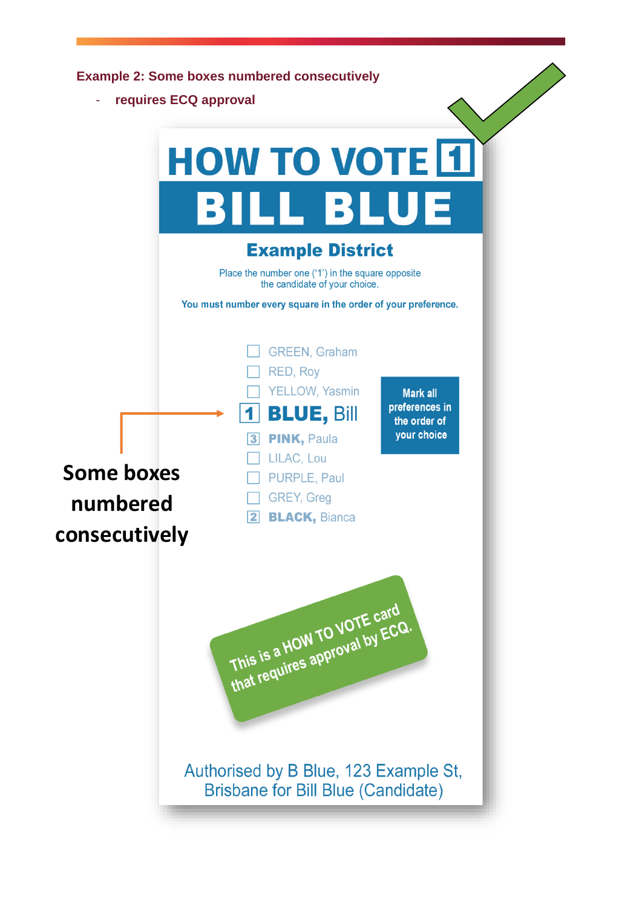|                       | <b>Example 2: Some boxes numbered consecutively</b>                                      |  |
|-----------------------|------------------------------------------------------------------------------------------|--|
| requires ECQ approval |                                                                                          |  |
|                       |                                                                                          |  |
|                       | <b>HOW TO VOTE 1</b>                                                                     |  |
|                       | <b>BILL BLUE</b>                                                                         |  |
|                       | <b>Example District</b>                                                                  |  |
|                       | Place the number one ('1') in the square opposite<br>the candidate of your choice.       |  |
|                       | You must number every square in the order of your preference.                            |  |
|                       | <b>GREEN, Graham</b><br>RED, Roy                                                         |  |
|                       | <b>YELLOW, Yasmin</b><br><b>Mark all</b><br>preferences in                               |  |
|                       | <b>BLUE, Bill</b><br>the order of<br>your choice<br><b>PINK, Paula</b><br>3 <sup>1</sup> |  |
|                       | LILAC, Lou                                                                               |  |
| <b>Some boxes</b>     | PURPLE, Paul                                                                             |  |
| numbered              | <b>GREY, Greg</b><br><b>BLACK, Bianca</b>                                                |  |
| consecutively         |                                                                                          |  |
|                       | This is a HOW TO VOTE card<br>that requires approval by ECQ.                             |  |
|                       | Authorised by B Blue, 123 Example St,<br><b>Brisbane for Bill Blue (Candidate)</b>       |  |